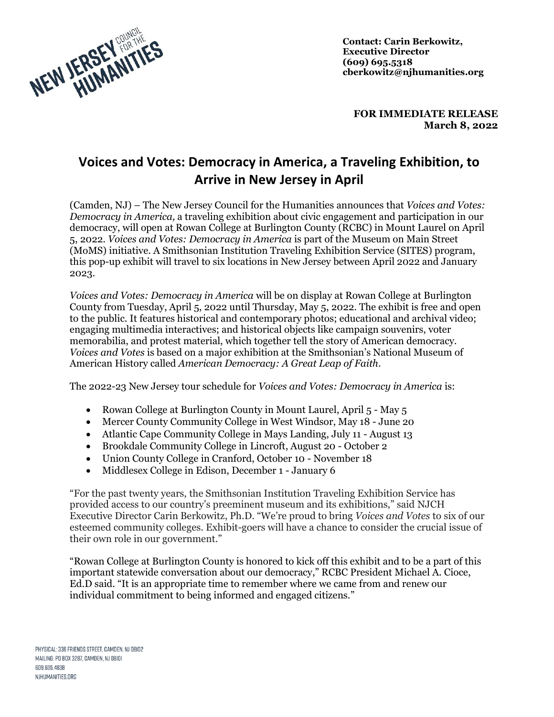

**Contact: Carin Berkowitz, Executive Director (609) 695.5318 cberkowitz@njhumanities.org**

**FOR IMMEDIATE RELEASE March 8, 2022**

## **Voices and Votes: Democracy in America, a Traveling Exhibition, to Arrive in New Jersey in April**

(Camden, NJ) – The New Jersey Council for the Humanities announces that *Voices and Votes: Democracy in America,* a traveling exhibition about civic engagement and participation in our democracy, will open at Rowan College at Burlington County (RCBC) in Mount Laurel on April 5, 2022. *Voices and Votes: Democracy in America* is part of the Museum on Main Street (MoMS) initiative. A Smithsonian Institution Traveling Exhibition Service (SITES) program, this pop-up exhibit will travel to six locations in New Jersey between April 2022 and January 2023.

*Voices and Votes: Democracy in America* will be on display at Rowan College at Burlington County from Tuesday, April 5, 2022 until Thursday, May 5, 2022. The exhibit is free and open to the public. It features historical and contemporary photos; educational and archival video; engaging multimedia interactives; and historical objects like campaign souvenirs, voter memorabilia, and protest material, which together tell the story of American democracy. *Voices and Votes* is based on a major exhibition at the Smithsonian's National Museum of American History called *American Democracy: A Great Leap of Faith*.

The 2022-23 New Jersey tour schedule for *Voices and Votes: Democracy in America* is:

- Rowan College at Burlington County in Mount Laurel, April 5 May 5
- Mercer County Community College in West Windsor, May 18 June 20
- Atlantic Cape Community College in Mays Landing, July 11 August 13
- Brookdale Community College in Lincroft, August 20 October 2
- Union County College in Cranford, October 10 November 18
- Middlesex College in Edison, December 1 January 6

"For the past twenty years, the Smithsonian Institution Traveling Exhibition Service has provided access to our country's preeminent museum and its exhibitions," said NJCH Executive Director Carin Berkowitz, Ph.D. "We're proud to bring *Voices and Votes* to six of our esteemed community colleges. Exhibit-goers will have a chance to consider the crucial issue of their own role in our government."

"Rowan College at Burlington County is honored to kick off this exhibit and to be a part of this important statewide conversation about our democracy," RCBC President Michael A. Cioce, Ed.D said. "It is an appropriate time to remember where we came from and renew our individual commitment to being informed and engaged citizens."